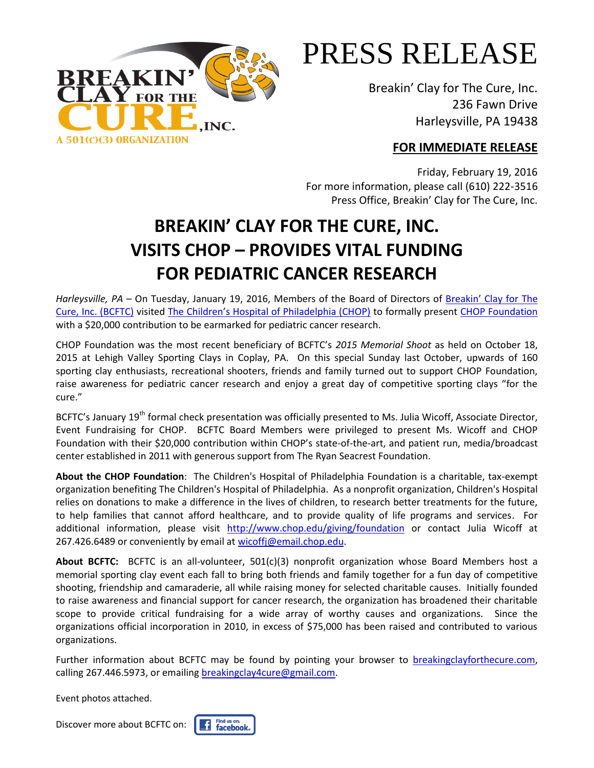

## PRESS RELEASE

Breakin' Clay for The Cure, Inc. 236 Fawn Drive Harleysville, PA 19438

## **FOR IMMEDIATE RELEASE**

Friday, February 19, 2016 For more information, please call (610) 222-3516 Press Office, Breakin' Clay for The Cure, Inc.

## **BREAKIN' CLAY FOR THE CURE, INC. VISITS CHOP – PROVIDES VITAL FUNDING FOR PEDIATRIC CANCER RESEARCH**

*Harleysville, PA* – On Tuesday, January 19, 2016, Members of the Board of Directors of Breakin' Clay for The [Cure, Inc. \(BCFTC\)](http://www.breakingclayforthecure.com/) visited The Children's Hospital of Philadelphia (CHOP) to formally present [CHOP Foundation](http://www.chop.edu/giving/foundation?JServSessionIdr004=slivqmlb84.app207b) with a \$20,000 contribution to be earmarked for pediatric cancer research.

CHOP Foundation was the most recent beneficiary of BCFTC' *2015 Memorial Shoot* as held on October 18, 2015 at Lehigh Valley Sporting Clays in Coplay, PA. On this special Sunday last October, upwards of 160 sporting clay enthusiasts, recreational shooters, friends and family turned out to support CHOP Foundation, raise awareness for pediatric cancer research and enjoy a great day of competitive sporting clays "for the cure."

BCFTC's January 19<sup>th</sup> formal check presentation was officially presented to Ms. Julia Wicoff, Associate Director, Event Fundraising for CHOP. BCFTC Board Members were privileged to present Ms. Wicoff and CHOP Foundation with their \$20,000 contribution within CHOP's state-of-the-art, and patient run, media/broadcast center established in 2011 with generous support from The Ryan Seacrest Foundation.

**About the CHOP Foundation**: The Children's Hospital of Philadelphia Foundation is a charitable, tax-exempt organization benefiting The Children's Hospital of Philadelphia. As a nonprofit organization, Children's Hospital relies on donations to make a difference in the lives of children, to research better treatments for the future, to help families that cannot afford healthcare, and to provide quality of life programs and services. For additional information, please visit <http://www.chop.edu/giving/foundation> or contact Julia Wicoff at 267.426.6489 or conveniently by email at [wicoffj@email.chop.edu.](mailto:wicoffj@email.chop.edu)

**About BCFTC:** BCFTC is an all-volunteer, 501(c)(3) nonprofit organization whose Board Members host a memorial sporting clay event each fall to bring both friends and family together for a fun day of competitive shooting, friendship and camaraderie, all while raising money for selected charitable causes. Initially founded to raise awareness and financial support for cancer research, the organization has broadened their charitable scope to provide critical fundraising for a wide array of worthy causes and organizations. Since the organizations official incorporation in 2010, in excess of \$75,000 has been raised and contributed to various organizations.

Further information about BCFTC may be found by pointing your browser to [breakingclayforthecure.com,](mailto:breakingclayforthecure.com) calling 267.446.5973, or emailin[g breakingclay4cure@gmail.com.](mailto:breakingclay4cure@gmail.com)

Event photos attached.

Discover more about BCFTC on: